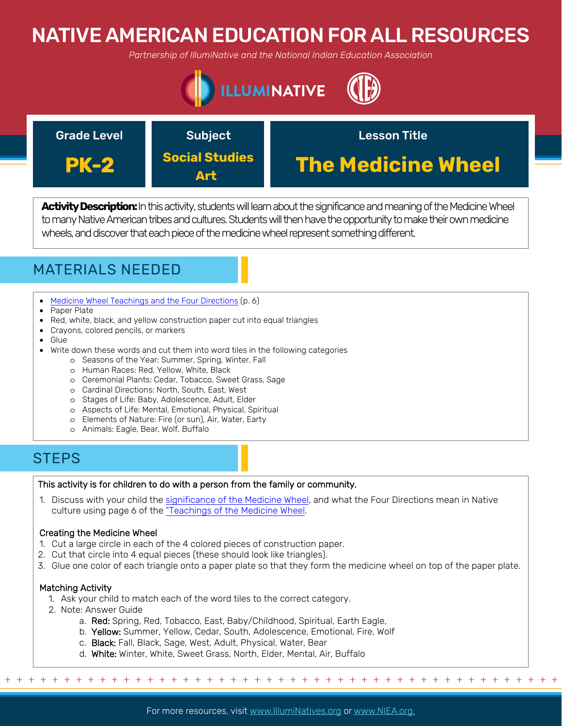# NATIVE AMERICAN EDUCATION FOR ALL RESOURCES

*Partnership of IllumiNative and the National Indian Education Association*





Activity Description: In this activity, students will learn about the significance and meaning of the Medicine Wheel to many Native American tribes and cultures. Students will then have the opportunity to make their own medicine wheels, and discover that each piece of the medicine wheel represent something different.



- [Medicine Wheel Teachings and the Four Directions](https://onlc.ca/wp-content/uploads/2014/06/Medicine-Wheel-Student-Manual1.pdf) (p. 6)
- Paper Plate
- Red, white, black, and yellow construction paper cut into equal triangles
- Crayons, colored pencils, or markers
- Glue
- Write down these words and cut them into word tiles in the following categories
	- o Seasons of the Year: Summer, Spring, Winter, Fall
	- o Human Races: Red, Yellow, White, Black
	- o Ceremonial Plants: Cedar, Tobacco, Sweet Grass, Sage
	- o Cardinal Directions: North, South, East, West
	- o Stages of Life: Baby, Adolescence, Adult, Elder
	- o Aspects of Life: Mental, Emotional, Physical, Spiritual
	- o Elements of Nature: Fire (or sun), Air, Water, Earty
	- o Animals: Eagle, Bear, Wolf, Buffalo

### **STEPS**

### This activity is for children to do with a person from the family or community.

1. Discuss with your child the [significance of the Medicine Wheel,](https://onlc.ca/wp-content/uploads/2014/06/Medicine-Wheel-Student-Manual1.pdf) and what the Four Directions mean in Native culture using page 6 of the "[Teachings of the Medicine Wheel](https://onlc.ca/wp-content/uploads/2014/06/Medicine-Wheel-Student-Manual1.pdf).

### Creating the Medicine Wheel

- 1. Cut a large circle in each of the 4 colored pieces of construction paper.
- 2. Cut that circle into 4 equal pieces (these should look like triangles).
- 3. Glue one color of each triangle onto a paper plate so that they form the medicine wheel on top of the paper plate.

### Matching Activity

- 1. Ask your child to match each of the word tiles to the correct category.
- 2. Note: Answer Guide
	- a. Red: Spring, Red, Tobacco, East, Baby/Childhood, Spiritual, Earth Eagle,
	- b. Yellow: Summer, Yellow, Cedar, South, Adolescence, Emotional, Fire, Wolf
	- c. Black: Fall, Black, Sage, West, Adult, Physical, Water, Bear
	- d. White: Winter, White, Sweet Grass, North, Elder, Mental, Air, Buffalo

+ + + + + + + + + + + + + + + + + + + + + + + + + + + + + + + + + + + + + + + + + + + + + + + +